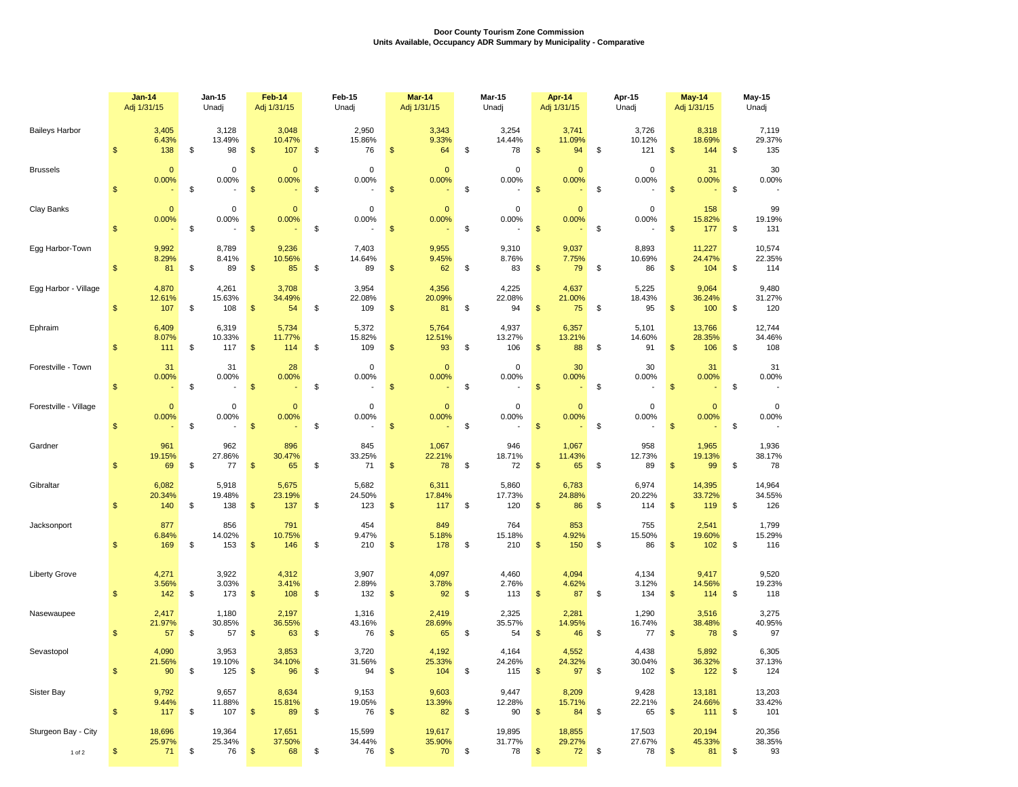## **Door County Tourism Zone Commission Units Available, Occupancy ADR Summary by Municipality - Comparative**

|                       | <b>Jan-14</b>               | Jan-15                   | Feb-14                                 | Feb-15                   | Mar-14                   | <b>Mar-15</b>                       | Apr-14                                 | Apr-15                   | May-14                                | <b>May-15</b>             |  |
|-----------------------|-----------------------------|--------------------------|----------------------------------------|--------------------------|--------------------------|-------------------------------------|----------------------------------------|--------------------------|---------------------------------------|---------------------------|--|
|                       | Adj 1/31/15                 | Unadj                    | Adj 1/31/15                            | Unadj                    | Adj 1/31/15              | Unadj                               | Adj 1/31/15                            | Unadj                    | Adj 1/31/15                           | Unadj                     |  |
| <b>Baileys Harbor</b> | 3,405                       | 3,128                    | 3,048                                  | 2,950                    | 3,343                    | 3,254                               | 3,741                                  | 3,726                    | 8,318                                 | 7,119                     |  |
|                       | 6.43%                       | 13.49%                   | 10.47%                                 | 15.86%                   | 9.33%                    | 14.44%                              | 11.09%                                 | 10.12%                   | 18.69%                                | 29.37%                    |  |
|                       | $\mathfrak{L}$              | \$                       | $\mathsf{\$}$                          | \$                       | \$                       | \$                                  | $\mathsf{\$}$                          | \$                       | $\mathsf{\$}$                         | \$                        |  |
|                       | 138                         | 98                       | 107                                    | 76                       | 64                       | 78                                  | 94                                     | 121                      | 144                                   | 135                       |  |
| <b>Brussels</b>       | $\Omega$                    | $\mathbf 0$              | $\mathbf 0$                            | $\mathbf 0$              | $\mathbf{0}$             | $\mathbf 0$                         | $\Omega$                               | $\mathbf 0$              | 31                                    | 30                        |  |
|                       | 0.00%                       | 0.00%                    | 0.00%                                  | 0.00%                    | 0.00%                    | 0.00%                               | 0.00%                                  | 0.00%                    | 0.00%                                 | 0.00%                     |  |
|                       | \$                          | \$                       | $\mathsf{\$}$                          | \$                       | \$                       | \$                                  | $\mathsf{\$}$                          | \$                       | $\mathfrak{s}$                        | \$                        |  |
| Clay Banks            | $\mathbf{0}$<br>0.00%<br>\$ | $\pmb{0}$<br>0.00%<br>\$ | $\mathbf{0}$<br>0.00%<br>$\mathsf{\$}$ | $\pmb{0}$<br>0.00%<br>\$ | $\pmb{0}$<br>0.00%<br>\$ | $\pmb{0}$<br>0.00%<br>$\mathfrak s$ | $\mathbf{0}$<br>0.00%<br>$\mathsf{\$}$ | $\pmb{0}$<br>0.00%<br>\$ | 158<br>15.82%<br>$\mathsf{\$}$<br>177 | 99<br>19.19%<br>\$<br>131 |  |
| Egg Harbor-Town       | 9,992                       | 8,789                    | 9,236                                  | 7,403                    | 9,955                    | 9,310                               | 9,037                                  | 8,893                    | 11,227                                | 10,574                    |  |
|                       | 8.29%                       | 8.41%                    | 10.56%                                 | 14.64%                   | 9.45%                    | 8.76%                               | 7.75%                                  | 10.69%                   | 24.47%                                | 22.35%                    |  |
|                       | \$                          | \$                       | $\mathfrak{s}$                         | 89                       | \$                       | \$                                  | \$                                     | \$                       | $\mathsf{\$}$                         | \$                        |  |
|                       | 81                          | 89                       | 85                                     | \$                       | 62                       | 83                                  | 79                                     | 86                       | 104                                   | 114                       |  |
| Egg Harbor - Village  | 4,870                       | 4,261                    | 3,708                                  | 3,954                    | 4,356                    | 4,225                               | 4,637                                  | 5,225                    | 9,064                                 | 9,480                     |  |
|                       | 12.61%                      | 15.63%                   | 34.49%                                 | 22.08%                   | 20.09%                   | 22.08%                              | 21.00%                                 | 18.43%                   | 36.24%                                | 31.27%                    |  |
|                       | \$                          | \$                       | $\mathsf{\$}$                          | \$                       | \$                       | \$                                  | 75                                     | \$                       | $\mathfrak{s}$                        | \$                        |  |
|                       | 107                         | 108                      | 54                                     | 109                      | 81                       | 94                                  | $\mathfrak{s}$                         | 95                       | 100                                   | 120                       |  |
| Ephraim               | 6,409                       | 6,319                    | 5,734                                  | 5,372                    | 5,764                    | 4,937                               | 6,357                                  | 5,101                    | 13,766                                | 12,744                    |  |
|                       | 8.07%                       | 10.33%                   | 11.77%                                 | 15.82%                   | 12.51%                   | 13.27%                              | 13.21%                                 | 14.60%                   | 28.35%                                | 34.46%                    |  |
|                       | \$                          | \$                       | $\mathfrak{s}$                         | \$                       | \$                       | 106                                 | $\frac{1}{2}$                          | \$                       | $\mathfrak{s}$                        | \$                        |  |
|                       | 111                         | 117                      | 114                                    | 109                      | 93                       | \$                                  | 88                                     | 91                       | 106                                   | 108                       |  |
| Forestville - Town    | 31                          | 31                       | 28                                     | $\mathbf 0$              | $\mathbf{0}$             | $\mathbf 0$                         | 30                                     | 30                       | 31                                    | 31                        |  |
|                       | 0.00%                       | 0.00%                    | 0.00%                                  | 0.00%                    | 0.00%                    | 0.00%                               | 0.00%                                  | 0.00%                    | 0.00%                                 | 0.00%                     |  |
|                       | $\mathsf{\$}$               | $\mathsf{\$}$            | $\mathsf{\$}$                          | \$                       | \$                       | $\mathfrak s$                       | $\mathfrak{s}$                         | \$                       | $\mathfrak{s}$                        | \$                        |  |
| Forestville - Village | $\mathbf{0}$                | 0                        | $\mathbf 0$                            | $\mathbf 0$              | $\mathbf{0}$             | $\mathbf 0$                         | $\mathbf{0}$                           | $\mathbf 0$              | $\mathbf{0}$                          | $\mathbf 0$               |  |
|                       | 0.00%                       | 0.00%                    | 0.00%                                  | 0.00%                    | 0.00%                    | 0.00%                               | 0.00%                                  | 0.00%                    | 0.00%                                 | 0.00%                     |  |
|                       | \$                          | \$                       | $\sqrt[6]{3}$                          | \$                       | \$                       | \$                                  | $\frac{1}{2}$                          | \$                       | $\sqrt[6]{\frac{1}{2}}$               | \$                        |  |
| Gardner               | 961                         | 962                      | 896                                    | 845                      | 1,067                    | 946                                 | 1,067                                  | 958                      | 1,965                                 | 1,936                     |  |
|                       | 19.15%                      | 27.86%                   | 30.47%                                 | 33.25%                   | 22.21%                   | 18.71%                              | 11.43%                                 | 12.73%                   | 19.13%                                | 38.17%                    |  |
|                       | $\mathfrak{L}$              | \$                       | $\mathsf{\$}$                          | \$                       | \$                       | \$                                  | 65                                     | \$                       | $\mathbf{\$}$                         | \$                        |  |
|                       | 69                          | 77                       | 65                                     | 71                       | 78                       | 72                                  | $\mathcal{S}$                          | 89                       | 99                                    | 78                        |  |
| Gibraltar             | 6,082                       | 5,918                    | 5,675                                  | 5,682                    | 6,311                    | 5,860                               | 6,783                                  | 6,974                    | 14,395                                | 14,964                    |  |
|                       | 20.34%                      | 19.48%                   | 23.19%                                 | 24.50%                   | 17.84%                   | 17.73%                              | 24.88%                                 | 20.22%                   | 33.72%                                | 34.55%                    |  |
|                       | \$                          | \$                       | \$                                     | \$                       | \$                       | \$                                  | $\mathfrak{s}$                         | \$                       | $\mathfrak{s}$                        | \$                        |  |
|                       | 140                         | 138                      | 137                                    | 123                      | 117                      | 120                                 | 86                                     | 114                      | 119                                   | 126                       |  |
| Jacksonport           | 877                         | 856                      | 791                                    | 454                      | 849                      | 764                                 | 853                                    | 755                      | 2,541                                 | 1,799                     |  |
|                       | 6.84%                       | 14.02%                   | 10.75%                                 | 9.47%                    | 5.18%                    | 15.18%                              | 4.92%                                  | 15.50%                   | 19.60%                                | 15.29%                    |  |
|                       | \$                          | \$                       | $\mathsf{\$}$                          | \$                       | \$                       | \$                                  | $\mathsf{\$}$                          | \$                       | $\mathfrak{s}$                        | \$                        |  |
|                       | 169                         | 153                      | 146                                    | 210                      | 178                      | 210                                 | 150                                    | 86                       | 102                                   | 116                       |  |
| Liberty Grove         | 4,271                       | 3,922                    | 4,312                                  | 3,907                    | 4,097                    | 4,460                               | 4,094                                  | 4,134                    | 9,417                                 | 9,520                     |  |
|                       | 3.56%                       | 3.03%                    | 3.41%                                  | 2.89%                    | 3.78%                    | 2.76%                               | 4.62%                                  | 3.12%                    | 14.56%                                | 19.23%                    |  |
|                       | \$                          | \$                       | 108                                    | \$                       | 92                       | \$                                  | 87                                     | \$                       | $\mathfrak{S}$                        | \$                        |  |
|                       | 142                         | 173                      | \$                                     | 132                      | \$                       | 113                                 | \$                                     | 134                      | 114                                   | 118                       |  |
| Nasewaupee            | 2,417                       | 1,180                    | 2,197                                  | 1,316                    | 2,419                    | 2,325                               | 2,281                                  | 1,290                    | 3,516                                 | 3,275                     |  |
|                       | 21.97%                      | 30.85%                   | 36.55%                                 | 43.16%                   | 28.69%                   | 35.57%                              | 14.95%                                 | 16.74%                   | 38.48%                                | 40.95%                    |  |
|                       | 57                          | \$                       | $\mathsf{\$}$                          | \$                       | \$                       | \$                                  | $\mathfrak{s}$                         | \$                       | $\mathfrak{s}$                        | \$                        |  |
|                       | \$                          | 57                       | 63                                     | 76                       | 65                       | 54                                  | 46                                     | 77                       | 78                                    | 97                        |  |
| Sevastopol            | 4,090                       | 3,953                    | 3,853                                  | 3,720                    | 4,192                    | 4,164                               | 4,552                                  | 4,438                    | 5,892                                 | 6,305                     |  |
|                       | 21.56%                      | 19.10%                   | 34.10%                                 | 31.56%                   | 25.33%                   | 24.26%                              | 24.32%                                 | 30.04%                   | 36.32%                                | 37.13%                    |  |
|                       | 90                          | \$                       | $\mathsf{\$}$                          | \$                       | \$                       | \$                                  | 97                                     | \$                       | $\mathbf{\$}$                         | \$                        |  |
|                       | $\mathfrak{L}$              | 125                      | 96                                     | 94                       | 104                      | 115                                 | \$                                     | 102                      | 122                                   | 124                       |  |
| Sister Bay            | 9,792                       | 9,657                    | 8,634                                  | 9,153                    | 9,603                    | 9,447                               | 8,209                                  | 9,428                    | 13,181                                | 13,203                    |  |
|                       | 9.44%                       | 11.88%                   | 15.81%                                 | 19.05%                   | 13.39%                   | 12.28%                              | 15.71%                                 | 22.21%                   | 24.66%                                | 33.42%                    |  |
|                       | \$                          | \$                       | \$                                     | \$                       | \$                       | \$                                  | $\mathfrak{s}$                         | \$                       | $\mathfrak{s}$                        | \$                        |  |
|                       | 117                         | 107                      | 89                                     | 76                       | 82                       | 90                                  | 84                                     | 65                       | 111                                   | 101                       |  |
| Sturgeon Bay - City   | 18,696                      | 19,364                   | 17,651                                 | 15,599                   | 19,617                   | 19,895                              | 18,855                                 | 17,503                   | 20,194                                | 20,356                    |  |
|                       | 25.97%                      | 25.34%                   | 37.50%                                 | 34.44%                   | 35.90%                   | 31.77%                              | 29.27%                                 | 27.67%                   | 45.33%                                | 38.35%                    |  |
|                       | \$                          | \$                       | $\frac{1}{2}$                          | 76                       | \$                       | \$                                  | $\frac{1}{2}$                          | \$                       | $\sqrt[6]{3}$                         | \$                        |  |
|                       | 71                          | 76                       | 68                                     | \$                       | 70                       | 78                                  | 72                                     | 78                       | 81                                    | 93                        |  |
| 1 of 2                |                             |                          |                                        |                          |                          |                                     |                                        |                          |                                       |                           |  |